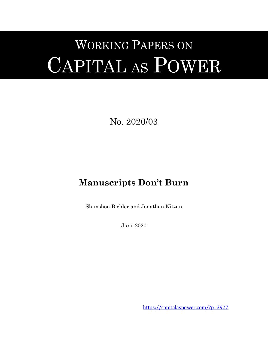# WORKING PAPERS ON CAPITAL AS POWER

No. 2020/03

# **Manuscripts Don't Burn**

Shimshon Bichler and Jonathan Nitzan

June 2020

<https://capitalaspower.com/?p=3927>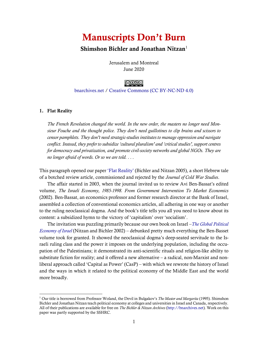## Manuscripts Don't Burn

### Shimshon Bichler and Jonathan Nitzan<sup>1</sup>

Jerusalem and Montreal June 2020

### ∣⊚⊙⊛⊜∣

### [bnarchives.net](http://bnarchives.net/) / [Creative Commons \(CC BY-NC-ND 4.0\)](https://creativecommons.org/licenses/by-nc-nd/4.0/)

### 1. Flat Reality

*The French Revolution changed the world. In the new order, the masters no longer need Monsieur Fouche and the thought police. They don't need guillotines to clip brains and scissors to censor pamphlets. They don't need strategic-studies institutes to manage oppression and navigate conflict. Instead, they prefer to subsidize 'cultural pluralism' and 'critical studies', support centres for democracy and privatization, and promote civil-society networks and global NGOs. They are no longer afraid of words. Or so we are told. . . .*

This paragraph opened our paper ['Flat Reality'](http://bnarchives.yorku.ca/173/) [\(Bichler and Nitzan 2005\)](#page-11-0), a short Hebrew tale of a botched review article, commissioned and rejected by the *Journal of Cold War Studies*.

The affair started in 2003, when the journal invited us to review Avi Ben-Bassat's edited volume, *The Israeli Economy, 1985-1998. From Government Intervention To Market Economics* [\(2002\)](#page-11-1). Ben-Bassat, an economics professor and former research director at the Bank of Israel, assembled a collection of conventional economics articles, all adhering in one way or another to the ruling neoclassical dogma. And the book's title tells you all you need to know about its content: a subsidized hymn to the victory of 'capitalism' over 'socialism'.

The invitation was puzzling primarily because our own book on Israel –*[The Global Political](http://bnarchives.yorku.ca/8/)  [Economy of Israel](http://bnarchives.yorku.ca/8/)* [\(Nitzan and Bichler 2002\)](#page-12-0) – debunked pretty much everything the Ben-Basset volume took for granted. It showed the neoclassical dogma's deep-seated servitude to the Israeli ruling class and the power it imposes on the underlying population, including the occupation of the Palestinians; it demonstrated its anti-scientific rituals and religion-like ability to substitute fiction for reality; and it offered a new alternative – a radical, non-Marxist and nonliberal approach called 'Capital as Power' (CasP) – with which we rewrote the history of Israel and the ways in which it related to the political economy of the Middle East and the world more broadly.

<sup>1</sup> Our title is borrowed from Professor Woland, the Devil in Bulgakov's *The Master and Margarita* [\(1995\)](#page-11-2). Shimshon Bichler and Jonathan Nitzan teach political economy at colleges and universities in Israel and Canada, respectively. All of their publications are available for free on *The Bichler & Nitzan Archives* [\(http://bnarchives.net\)](http://bnarchives.net/). Work on this paper was partly supported by the SSHRC.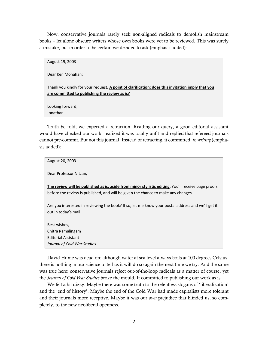Now, conservative journals rarely seek non-aligned radicals to demolish mainstream books – let alone obscure writers whose own books were yet to be reviewed. This was surely a mistake, but in order to be certain we decided to ask (emphasis added):

| August 19, 2003                                                                                                                                   |
|---------------------------------------------------------------------------------------------------------------------------------------------------|
| Dear Ken Monahan:                                                                                                                                 |
| Thank you kindly for your request. A point of clarification: does this invitation imply that you<br>are committed to publishing the review as is? |
| Looking forward,                                                                                                                                  |
| Jonathan                                                                                                                                          |

Truth be told, we expected a retraction. Reading our query, a good editorial assistant would have checked our work, realized it was totally unfit and replied that refereed journals cannot pre-commit. But not this journal. Instead of retracting, it committed, *in writing* (emphasis added):

| August 20, 2003                                                                                                                                                                         |
|-----------------------------------------------------------------------------------------------------------------------------------------------------------------------------------------|
| Dear Professor Nitzan,                                                                                                                                                                  |
| The review will be published as is, aside from minor stylistic editing. You'll receive page proofs<br>before the review is published, and will be given the chance to make any changes. |
| Are you interested in reviewing the book? If so, let me know your postal address and we'll get it<br>out in today's mail.                                                               |
| Best wishes,                                                                                                                                                                            |
| Chitra Ramalingam                                                                                                                                                                       |
| <b>Editorial Assistant</b>                                                                                                                                                              |
| Journal of Cold War Studies                                                                                                                                                             |

David Hume was dead on: although water at sea level always boils at 100 degrees Celsius, there is nothing in our science to tell us it will do so again the next time we try. And the same was true here: conservative journals reject out-of-the-loop radicals as a matter of course, yet the *Journal of Cold War Studies* broke the mould. It committed to publishing our work as is.

We felt a bit dizzy. Maybe there was some truth to the relentless slogans of 'liberalization' and the 'end of history'. Maybe the end of the Cold War had made capitalists more tolerant and their journals more receptive. Maybe it was our *own* prejudice that blinded us, so completely, to the new neoliberal openness.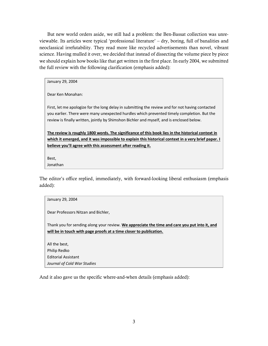But new world orders aside, we still had a problem: the Ben-Bassat collection was unreviewable. Its articles were typical 'professional literature' – dry, boring, full of banalities and neoclassical irrefutability. They read more like recycled advertisements than novel, vibrant science. Having mulled it over, we decided that instead of dissecting the volume piece by piece we should explain how books like that get written in the first place. In early 2004, we submitted the full review with the following clarification (emphasis added):

January 29, 2004

Dear Ken Monahan:

First, let me apologize for the long delay in submitting the review and for not having contacted you earlier. There were many unexpected hurdles which prevented timely completion. But the review is finally written, jointly by Shimshon Bichler and myself, and is enclosed below.

**The review is roughly 1800 words. The significance of this book lies in the historical context in which it emerged, and it was impossible to explain this historical context in a very brief paper. I believe you'll agree with this assessment after reading it.**

Best, Jonathan

The editor's office replied, immediately, with forward-looking liberal enthusiasm (emphasis added):

### January 29, 2004 Dear Professors Nitzan and Bichler, Thank you for sending along your review. **We appreciate the time and care you put into it, and will be in touch with page proofs at a time closer to publication.** All the best, Philip Redko Editorial Assistant *Journal of Cold War Studies*

And it also gave us the specific where-and-when details (emphasis added):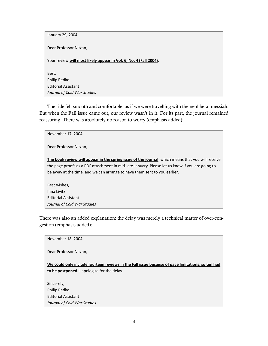| January 29, 2004                                                  |
|-------------------------------------------------------------------|
| Dear Professor Nitzan,                                            |
| Your review will most likely appear in Vol. 6, No. 4 (Fall 2004). |
| Best,                                                             |
| Philip Redko                                                      |
| <b>Editorial Assistant</b>                                        |
| Journal of Cold War Studies                                       |

The ride felt smooth and comfortable, as if we were travelling with the neoliberal messiah. But when the Fall issue came out, our review wasn't in it. For its part, the journal remained reassuring. There was absolutely no reason to worry (emphasis added):

There was also an added explanation: the delay was merely a technical matter of over-congestion (emphasis added):

| November 18, 2004                                                                                |
|--------------------------------------------------------------------------------------------------|
| Dear Professor Nitzan,                                                                           |
|                                                                                                  |
| We could only include fourteen reviews in the Fall issue because of page limitations, so ten had |
| to be postponed. I apologize for the delay.                                                      |
| Sincerely,                                                                                       |
|                                                                                                  |
| Philip Redko                                                                                     |
| <b>Editorial Assistant</b>                                                                       |
| Journal of Cold War Studies                                                                      |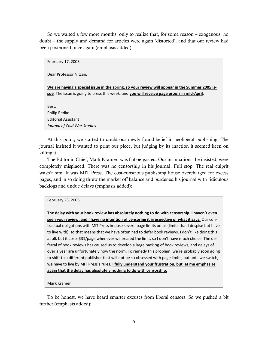So we waited a few more months, only to realize that, for some reason – exogenous, no doubt – the supply and demand for articles were again 'distorted', and that our review had been postponed once again (emphasis added):

February 17, 2005 Dear Professor Nitzan, **We are having a special issue in the spring, so your review will appear in the Summer 2005 issue**. The issue is going to press this week, and **you will receive page proofs in mid-April**. Best, Philip Redko Editorial Assistant *Journal of Cold War Studies*

At this point, we started to doubt our newly found belief in neoliberal publishing. The journal insisted it wanted to print our piece, but judging by its inaction it seemed keen on killing it.

The Editor in Chief, Mark Kramer, was flabbergasted. Our insinuations, he insisted, were completely misplaced. There was no censorship in his journal. Full stop. The real culprit wasn't him. It was MIT Press. The cost-conscious publishing house overcharged for excess pages, and in so doing threw the market off balance and burdened his journal with ridiculous backlogs and undue delays (emphasis added):

### February 23, 2005

**The delay with your book review has absolutely nothing to do with censorship. I haven't even seen your review, and I have no intention of censoring it irrespective of what it says.** Our contractual obligations with MIT Press impose severe page limits on us (limits that I despise but have to live with), so that means that we have often had to defer book reviews. I don't like doing this at all, but it costs \$31/page whenever we exceed the limit, so I don't have much choice. The deferral of book reviews has caused us to develop a large backlog of book reviews, and delays of over a year are unfortunately now the norm. To remedy this problem, we're probably soon going to shift to a different publisher that will not be so obsessed with page limits, but until we switch, we have to live by MIT Press's rules. **I fully understand your frustration, but let me emphasize again that the delay has absolutely nothing to do with censorship.**

Mark Kramer

To be honest, we have heard smarter excuses from liberal censors. So we pushed a bit further (emphasis added):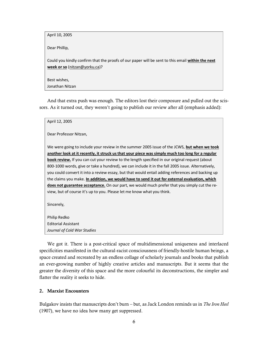April 10, 2005

Dear Phillip,

Could you kindly confirm that the proofs of our paper will be sent to this email **within the next week or so** [\(nitzan@yorku.ca\)](mailto:nitzan@yorku.ca)?

Best wishes, Jonathan Nitzan

And that extra push was enough. The editors lost their composure and pulled out the scissors. As it turned out, they weren't going to publish our review after all (emphasis added):

| April 12, 2005                                                                                        |
|-------------------------------------------------------------------------------------------------------|
| Dear Professor Nitzan,                                                                                |
| We were going to include your review in the summer 2005 issue of the JCWS, but when we took           |
| another look at it recently, it struck us that your piece was simply much too long for a regular      |
| <b>book review.</b> If you can cut your review to the length specified in our original request (about |
| 800-1000 words, give or take a hundred), we can include it in the fall 2005 issue. Alternatively,     |
| you could convert it into a review essay, but that would entail adding references and backing up      |
| the claims you make. In addition, we would have to send it out for external evaluation, which         |
| does not guarantee acceptance. On our part, we would much prefer that you simply cut the re-          |
| view, but of course it's up to you. Please let me know what you think.                                |
|                                                                                                       |
| Sincerely,                                                                                            |
|                                                                                                       |
| Philip Redko                                                                                          |
| <b>Editorial Assistant</b>                                                                            |
| Journal of Cold War Studies                                                                           |

We got it. There is a post-critical space of multidimensional uniqueness and interlaced specificities manifested in the cultural-racist consciousness of friendly-hostile human beings, a space created and recreated by an endless collage of scholarly journals and books that publish an ever-growing number of highly creative articles and manuscripts. But it seems that the greater the diversity of this space and the more colourful its deconstructions, the simpler and flatter the reality it seeks to hide.

### 2. Marxist Encounters

Bulgakov insists that manuscripts don't burn – but, as Jack London reminds us in *The Iron Heel* [\(1907\)](#page-11-3), we have no idea how many get suppressed.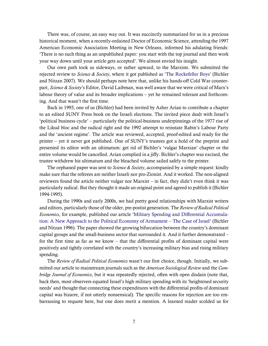There was, of course, an easy way out. It was succinctly summarized for us in a precious historical moment, when a recently-ordained Doctor of Economic Science, attending the 1997 American Economic Association Meeting in New Orleans, informed his adulating friends: 'There is no such thing as an unpublished paper: you start with the top journal and then work your way down until your article gets accepted'. We almost envied his insight.

Our own path took us sideways, or rather upward, to the Marxists. We submitted the rejected review to *Science & Society*, where it got published as ['The Rockefeller Boys'](http://bnarchives.yorku.ca/228/) [\(Bichler](#page-11-4)  [and Nitzan 2007\)](#page-11-4). We should perhaps note here that, unlike his hands-off Cold War counterpart, *Science & Society*'s Editor, David Laibman, was well aware that we were critical of Marx's labour theory of value and its broader implications – yet he remained tolerant and forthcoming. And that wasn't the first time.

Back in 1993, one of us (Bichler) had been invited by Asher Arian to contribute a chapter to an edited SUNY Press book on the Israeli elections. The invited piece dealt with Israel's 'political business cycle' – particularly the political-business underpinnings of the 1977 rise of the Likud bloc and the radical right and the 1992 attempt to reinstate Rabin's Labour Party and the 'ancient regime'. The article was reviewed, accepted, proof-edited and ready for the printer – yet it never got published. One of SUNY's trustees got a hold of the preprint and presented its editor with an ultimatum: get rid of Bichler's 'vulgar Marxian' chapter or the entire volume would be cancelled. Arian complied in a jiffy. Bichler's chapter was excised, the trustee withdrew his ultimatum and the bleached volume sailed safely to the printer.

The orphaned paper was sent to *Science & Society*, accompanied by a simple request: kindly make sure that the referees are neither Israeli nor pro-Zionist. And it worked. The non-aligned reviewers found the article neither vulgar nor Marxist – in fact, they didn't even think it was particularly radical. But they thought it made an original point and agreed to publish it [\(Bichler](#page-11-5)  [1994-1995\)](#page-11-5).

During the 1990s and early 2000s, we had pretty good relationships with Marxist writers and editors, particularly those of the older, pre-postist generation. The *Review of Radical Political Economics*, for example, published our article ['Military Spending and Differential Accumula](http://bnarchives.yorku.ca/12/)[tion: A New Approach to the Political Economy of Armament](http://bnarchives.yorku.ca/12/) – The Case of Israel' [\(Bichler](#page-11-6)  [and Nitzan 1996\)](#page-11-6). The paper showed the growing bifurcation between the country's dominant capital groups and the small-business sector that surrounded it. And it further demonstrated – for the first time as far as we know – that the differential profits of dominant capital were positively and tightly correlated with the country's increasing military bias and rising military spending.

The *Review of Radical Political Economics* wasn't our first choice, though. Initially, we submitted our article to mainstream journals such as the *American Sociological Review* and the *Cambridge Journal of Economics*, but it was repeatedly rejected, often with open disdain (note that, back then, most observers equated Israel's high military spending with its 'heightened security needs' and thought that connecting these expenditures with the differential profits of dominant capital was bizarre, if not utterly nonsensical). The specific reasons for rejection are too embarrassing to requote here, but one does merit a mention. A learned reader scolded us for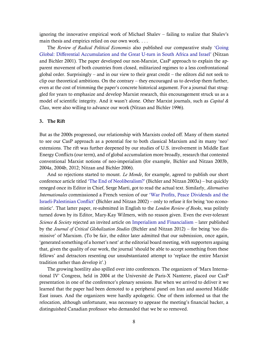ignoring the innovative empirical work of Michael Shalev – failing to realize that Shalev's main thesis and empirics relied on our own work. . . .

The *Review of Radical Political Economics* also published our comparative study ['Going](http://bnarchives.yorku.ca/4/)  [Global: Differential Accumulation and the Great U-](http://bnarchives.yorku.ca/4/)turn in South Africa and Israel' [\(Nitzan](#page-11-7)  [and Bichler 2001\)](#page-11-7). The paper developed our non-Marxist, CasP approach to explain the apparent movement of both countries from closed, militarized regimes to a less confrontational global order. Surprisingly – and in our view to their great credit – the editors did not seek to clip our theoretical ambitions. On the contrary – they encouraged us to develop them further, even at the cost of trimming the paper's concrete historical argument. For a journal that struggled for years to emphasize and develop Marxist research, this encouragement struck us as a model of scientific integrity. And it wasn't alone. Other Marxist journals, such as *Capital & Class*, were also willing to advance our work [\(Nitzan and Bichler 1996\)](#page-11-8).

### 3. The Rift

But as the 2000s progressed, our relationship with Marxists cooled off. Many of them started to see our CasP approach as a potential foe to both classical Marxism and its many 'neo' extensions. The rift was further deepened by our studies of U.S. involvement in Middle East Energy Conflicts (our term), and of global accumulation more broadly, research that contested conventional Marxist notions of neo-imperialism (for example, [Bichler and Nitzan 2003b,](#page-11-9) [2004a,](#page-11-10) [2004b,](#page-11-11) [2012;](#page-11-12) [Nitzan and Bichler 2006\)](#page-12-1).

And so rejections started to mount. *Le Monde*, for example, agreed to publish our short conference article titled ['The End of](http://bnarchives.yorku.ca/102/) Neoliberalism?' [\(Bichler and Nitzan 2003a\)](#page-11-13) – but quickly reneged once its Editor in Chief, Serge Marti, got to read the actual text. Similarly, *Alternatives Internationales* commissioned a French version of our ['War Profits, Peace Dividends and the](http://bnarchives.yorku.ca/33/)  Israeli-[Palestinian Conflict'](http://bnarchives.yorku.ca/33/) [\(Bichler and Nitzan 2002\)](#page-11-14) – only to refuse it for being 'too economistic'. That latter paper, re-submitted in English to the *London Review of Books*, was politely turned down by its Editor, Mary-Kay Wilmers, with no reason given. Even the ever-tolerant *Science & Society* rejected an invited article on [Imperialism and Financialism](http://bnarchives.yorku.ca/329/) – later published by the *Journal of Critical Globalization Studies* [\(Bichler and Nitzan 2012\)](#page-11-12) – for being 'too dismissive' of Marxism. (To be fair, the editor later admitted that our submission, once again, 'generated something of a hornet's nest' at the editorial board meeting, with supporters arguing that, given the quality of our work, the journal 'should be able to accept something from these fellows' and detractors resenting our unsubstantiated attempt to 'replace the entire Marxist tradition rather than develop it'.)

The growing hostility also spilled over into conferences. The organizers of 'Marx International IV' Congress, held in 2004 at the Université de Paris-X Nanterre, placed our CasP presentation in one of the conference's plenary sessions. But when we arrived to deliver it we learned that the paper had been demoted to a peripheral panel on Iran and assorted Middle East issues. And the organizers were hardly apologetic. One of them informed us that the relocation, although unfortunate, was necessary to appease the meeting's financial backer, a distinguished Canadian professor who demanded that we be so removed.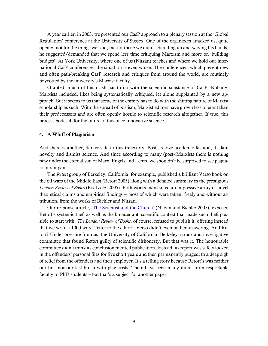A year earlier, in 2003, we presented our CasP approach to a plenary session at the 'Global Regulation' conference at the University of Sussex. One of the organizers attacked us, quite openly, not for the things we said, but for those we didn't. Standing up and waving his hands, he suggested/demanded that we spend less time critiquing Marxism and more on 'building bridges'. At York University, where one of us (Nitzan) teaches and where we hold our international CasP conferences, the situation is even worse. The conferences, which present new and often path-breaking CasP research and critiques from around the world, are routinely boycotted by the university's Marxist faculty.

Granted, much of this clash has to do with the scientific substance of CasP. Nobody, Marxists included, likes being systematically critiqued, let alone supplanted by a new approach. But it seems to us that some of the enmity has to do with the shifting nature of Marxist scholarship as such. With the spread of postism, Marxist editors have grown less tolerant than their predecessors and are often openly hostile to scientific research altogether. If true, this process bodes ill for the future of this once-innovative science.

### 4. A Whiff of Plagiarism

And there is another, darker side to this trajectory. Postists love academic fashion, disdain novelty and dismiss science. And since according to many (post-)Marxists there is nothing new under the eternal sun of Marx, Engels and Lenin, we shouldn't be surprised to see plagiarism rampant.

The *Retort* group of Berkeley, California, for example, published a brilliant Verso book on the oil wars of the Middle East [\(Retort 2005\)](#page-12-2) along with a detailed summary in the prestigious *London Review of Books* (Boal *et al.* [2005\)](#page-11-15). Both works marshalled an impressive array of novel theoretical claims and empirical findings – most of which were taken, freely and without attribution, from the works of Bichler and Nitzan.

Our response article, ['The Scientist and the Church'](http://bnarchives.yorku.ca/185/) [\(Nitzan and Bichler 2005\)](#page-12-3), exposed Retort's systemic theft as well as the broader anti-scientific context that made such theft possible to start with. *The London Review of Books*, of course, refused to publish it, offering instead that we write a 1000-word 'letter to the editor'. Verso didn't even bother answering. And Retort? Under pressure from us, the University of California, Berkeley, struck and investigative committee that found Retort guilty of scientific dishonesty. But that was it. The honourable committee didn't think its conclusion merited publication. Instead, its report was safely locked in the offenders' personal files for five short years and then permanently purged, to a deep sigh of relief from the offenders and their employer. It's a telling story because Retort's was neither our first nor our last brush with plagiarists. There have been many more, from respectable faculty to PhD students – but that's a subject for another paper.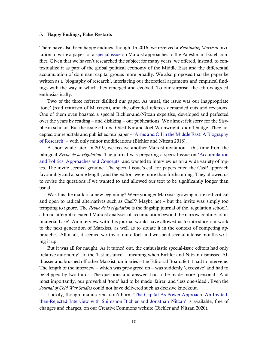### 5. Happy Endings, False Restarts

There have also been happy endings, though. In 2016, we received a *Rethinking Marxism* invitation to write a paper for [a special issue](https://www.tandfonline.com/toc/rrmx20/30/3?nav=tocList) on Marxist approaches to the Palestinian-Israeli conflict. Given that we haven't researched the subject for many years, we offered, instead, to contextualize it as part of the global political economy of the Middle East and the differential accumulation of dominant capital groups more broadly. We also proposed that the paper be written as a 'biography of research', interlacing our theoretical arguments and empirical findings with the way in which they emerged and evolved. To our surprise, the editors agreed enthusiastically.

Two of the three referees disliked our paper. As usual, the issue was our inappropriate 'tone' (read criticism of Marxism), and the offended referees demanded cuts and revisions. One of them even boasted a special Bichler-and-Nitzan expertise, developed and perfected over the years by reading – and disliking – our publications. We almost felt sorry for the Sisyphean scholar. But the issue editors, Oded Nir and Joel Wainwright, didn't budge. They accepted our rebuttals and published our paper – '[Arms and Oil in the Middle East: A Biography](http://bnarchives.yorku.ca/566/)  [of Research](http://bnarchives.yorku.ca/566/)' – with only minor modifications [\(Bichler and Nitzan 2018\)](#page-11-16).

A short while later, in 2019, we receive another Marxist invitation – this time from the bilingual *Revue de la r*é*gulation*. The journal was preparing a special issue on ['Accumulation](https://journals.openedition.org/regulation/12653)  [and Politics: Approaches and Concepts'](https://journals.openedition.org/regulation/12653) and wanted to interview us on a wide variety of topics. The invite seemed genuine. The special issue's call for papers cited the CasP approach favourably and at some length, and the editors were more than forthcoming. They allowed us to revise the questions if we wanted to and allowed our text to be significantly longer than usual.

Was this the mark of a new beginning? Were younger Marxists growing more self-critical and open to radical alternatives such as CasP? Maybe not – but the invite was simply too tempting to ignore. The *Revue de la r*é*gulation* is the flagship journal of the 'regulation school', a broad attempt to extend Marxist analyses of accumulation beyond the narrow confines of its 'material base'. An interview with this journal would have allowed us to introduce our work to the next generation of Marxists, as well as to situate it in the context of competing approaches. All in all, it seemed worthy of our effort, and we spent several intense months writing it up.

But it was all for naught. As it turned out, the enthusiastic special-issue editors had only 'relative autonomy'. In the 'last instance' – meaning when Bichler and Nitzan dismissed Althusser and brushed off other Marxist luminaries – the Editorial Board felt it had to intervene. The length of the interview – which was pre-agreed on – was suddenly 'excessive' and had to be clipped by two-thirds. The questions and answers had to be made more 'personal'. And most importantly, our proverbial 'tone' had to be made 'fairer' and 'less one-sided'. Even the *Journal of Cold War Studies* could not have delivered such as decisive knockout.

Luckily, though, manuscripts don't burn. ['The Capital As Power Approach: An Invited](http://bnarchives.yorku.ca/640/)then-Rejected [Interview with Shimshon Bichler and Jonathan Nitzan'](http://bnarchives.yorku.ca/640/) is available, free of changes and charges, on our CreativeCommons website [\(Bichler and Nitzan 2020\)](#page-11-17).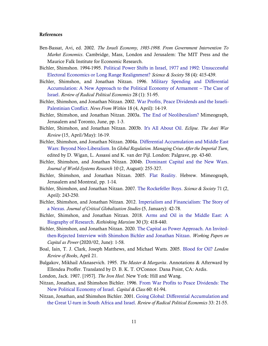### References

- <span id="page-11-1"></span>Ben-Bassat, Avi, ed. 2002. *The Israeli Economy, 1985-1998. From Government Intervention To Market Economics*. Cambridge, Mass, London and Jerusalem: The MIT Press and the Maurice Falk Institute for Economic Research.
- <span id="page-11-5"></span>Bichler, Shimshon. 1994-1995. [Political Power Shifts in Israel, 1977 and 1992: Unsuccessful](http://bnarchives.yorku.ca/122/)  [Electoral Economics or Long Range Realignment?](http://bnarchives.yorku.ca/122/) *Science & Society* 58 (4): 415-439.
- <span id="page-11-6"></span>Bichler, Shimshon, and Jonathan Nitzan. 1996. [Military Spending and Differential](http://bnarchives.yorku.ca/12/)  [Accumulation: A New Approach to the Political Economy of Armament --](http://bnarchives.yorku.ca/12/) The Case of [Israel.](http://bnarchives.yorku.ca/12/) *Review of Radical Political Economics* 28 (1): 51-95.
- <span id="page-11-14"></span>Bichler, Shimshon, and Jonathan Nitzan. 2002. [War Profits, Peace Dividends and the Israeli-](http://bnarchives.yorku.ca/33/)[Palestinian Conflict.](http://bnarchives.yorku.ca/33/) *News From Within* 18 (4, April): 14-19.
- <span id="page-11-13"></span>Bichler, Shimshon, and Jonathan Nitzan. 2003a. [The End of Neoliberalism?](http://bnarchives.yorku.ca/102/) Mimeograph, Jerusalem and Toronto, June, pp. 1-3.
- <span id="page-11-9"></span>Bichler, Shimshon, and Jonathan Nitzan. 2003b. [It's All About Oil.](http://bnarchives.yorku.ca/34/) *Eclipse. The Anti War Review* (15, April/May): 16-19.
- <span id="page-11-10"></span>Bichler, Shimshon, and Jonathan Nitzan. 2004a. [Differential Accumulation and Middle East](http://bnarchives.yorku.ca/17/)  [Wars: Beyond Neo-Liberalism.](http://bnarchives.yorku.ca/17/) In *Global Regulation. Managing Crises After the Imperial Turn*, edited by D. Wigan, L. Assassi and K. van der Pijl. London: Palgrave, pp. 43-60.
- <span id="page-11-11"></span>Bichler, Shimshon, and Jonathan Nitzan. 2004b. [Dominant Capital and the New Wars.](http://bnarchives.yorku.ca/1/) *Journal of World-Systems Research* 10 (2, August): 255-327.
- <span id="page-11-0"></span>Bichler, Shimshon, and Jonathan Nitzan. 2005. [Flat Reality.](http://bnarchives.yorku.ca/173/) Hebrew. Mimeograph, Jerusalem and Montreal, pp. 1-14.
- <span id="page-11-4"></span>Bichler, Shimshon, and Jonathan Nitzan. 2007. [The Rockefeller Boys.](http://bnarchives.yorku.ca/228/) *Science & Society* 71 (2, April): 243-250.
- <span id="page-11-12"></span>Bichler, Shimshon, and Jonathan Nitzan. 2012. [Imperialism and Financialism: The Story of](http://bnarchives.yorku.ca/329/)  [a Nexus.](http://bnarchives.yorku.ca/329/) *Journal of Critical Globalization Studies* (5, January): 42-78.
- <span id="page-11-16"></span>Bichler, Shimshon, and Jonathan Nitzan. 2018. [Arms and Oil in the Middle East: A](http://bnarchives.yorku.ca/566/)  [Biography of Research.](http://bnarchives.yorku.ca/566/) *Rethinking Marxism* 30 (3): 418-440.
- <span id="page-11-17"></span>Bichler, Shimshon, and Jonathan Nitzan. 2020. [The Capital as Power Approach. An Invited](http://bnarchives.yorku.ca/640/)[then-Rejected Interview with Shimshon Bichler and Jonathan Nitzan.](http://bnarchives.yorku.ca/640/) *Working Papers on Capital as Power* (2020/02, June): 1-58.
- <span id="page-11-15"></span>Boal, Iain, T. J. Clark, Joseph Matthews, and Michael Watts. 2005. [Blood for Oil?](http://bnarchives.yorku.ca/168/) *London Review of Books*, April 21.
- <span id="page-11-2"></span>Bulgakov, Mikhail Afanasevich. 1995. *The Master & Margarita*. Annotations & Afterward by Ellendea Proffer. Translated by D. B. K. T. O'Connor*.* Dana Point, CA: Ardis.
- <span id="page-11-3"></span>London, Jack. 1907. [1957]. *The Iron Heel.* New York: Hill and Wang.
- <span id="page-11-8"></span>Nitzan, Jonathan, and Shimshon Bichler. 1996. [From War Profits to Peace Dividends: The](http://bnarchives.yorku.ca/6/)  [New Political Economy of Israel.](http://bnarchives.yorku.ca/6/) *Capital & Class* 60: 61-94.
- <span id="page-11-7"></span>Nitzan, Jonathan, and Shimshon Bichler. 2001. [Going Global: Differential Accumulation and](http://bnarchives.yorku.ca/4/)  [the Great U-turn in South](http://bnarchives.yorku.ca/4/) Africa and Israel. *Review of Radical Political Economics* 33: 21-55.